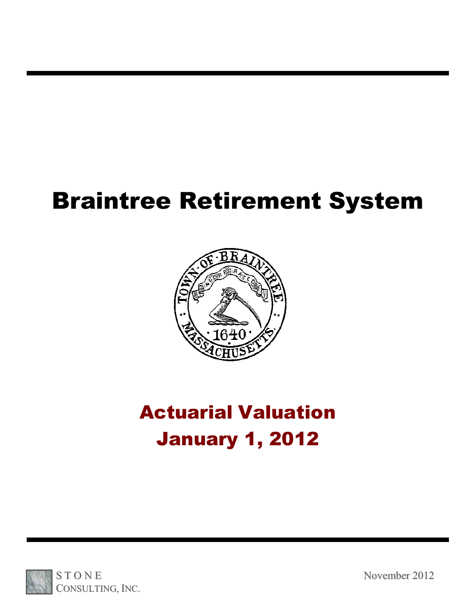# Braintree Retirement System



# Actuarial Valuation January 1, 2012

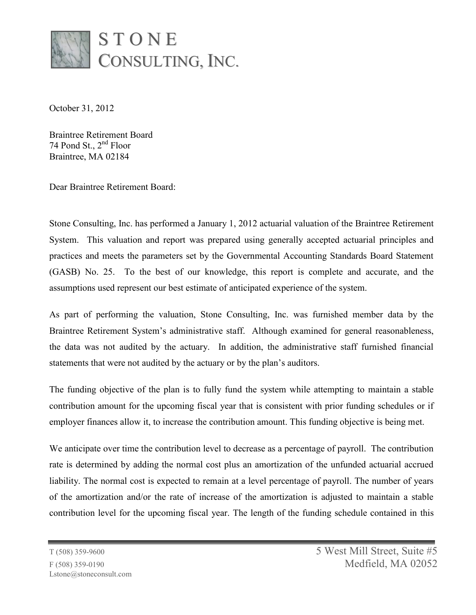

October 31, 2012

Braintree Retirement Board 74 Pond St., 2<sup>nd</sup> Floor Braintree, MA 02184

Dear Braintree Retirement Board:

Stone Consulting, Inc. has performed a January 1, 2012 actuarial valuation of the Braintree Retirement System. This valuation and report was prepared using generally accepted actuarial principles and practices and meets the parameters set by the Governmental Accounting Standards Board Statement (GASB) No. 25. To the best of our knowledge, this report is complete and accurate, and the assumptions used represent our best estimate of anticipated experience of the system.

As part of performing the valuation, Stone Consulting, Inc. was furnished member data by the Braintree Retirement System's administrative staff. Although examined for general reasonableness, the data was not audited by the actuary. In addition, the administrative staff furnished financial statements that were not audited by the actuary or by the plan's auditors.

The funding objective of the plan is to fully fund the system while attempting to maintain a stable contribution amount for the upcoming fiscal year that is consistent with prior funding schedules or if employer finances allow it, to increase the contribution amount. This funding objective is being met.

We anticipate over time the contribution level to decrease as a percentage of payroll. The contribution rate is determined by adding the normal cost plus an amortization of the unfunded actuarial accrued liability. The normal cost is expected to remain at a level percentage of payroll. The number of years of the amortization and/or the rate of increase of the amortization is adjusted to maintain a stable contribution level for the upcoming fiscal year. The length of the funding schedule contained in this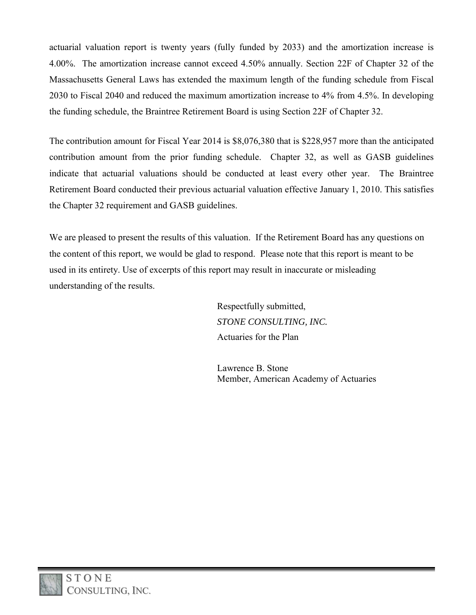actuarial valuation report is twenty years (fully funded by 2033) and the amortization increase is 4.00%. The amortization increase cannot exceed 4.50% annually. Section 22F of Chapter 32 of the Massachusetts General Laws has extended the maximum length of the funding schedule from Fiscal 2030 to Fiscal 2040 and reduced the maximum amortization increase to 4% from 4.5%. In developing the funding schedule, the Braintree Retirement Board is using Section 22F of Chapter 32.

The contribution amount for Fiscal Year 2014 is \$8,076,380 that is \$228,957 more than the anticipated contribution amount from the prior funding schedule. Chapter 32, as well as GASB guidelines indicate that actuarial valuations should be conducted at least every other year. The Braintree Retirement Board conducted their previous actuarial valuation effective January 1, 2010. This satisfies the Chapter 32 requirement and GASB guidelines.

We are pleased to present the results of this valuation. If the Retirement Board has any questions on the content of this report, we would be glad to respond. Please note that this report is meant to be used in its entirety. Use of excerpts of this report may result in inaccurate or misleading understanding of the results.

> Respectfully submitted, *STONE CONSULTING, INC.* Actuaries for the Plan

 Lawrence B. Stone Member, American Academy of Actuaries

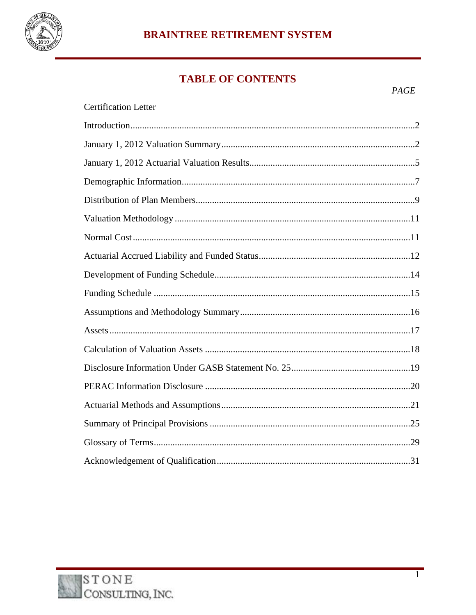

# **BRAINTREE RETIREMENT SYSTEM**

# **TABLE OF CONTENTS**

| <b>Certification Letter</b> |
|-----------------------------|
|                             |
|                             |
|                             |
|                             |
|                             |
|                             |
|                             |
|                             |
|                             |
|                             |
|                             |
|                             |
|                             |
|                             |
|                             |
|                             |
|                             |
|                             |
|                             |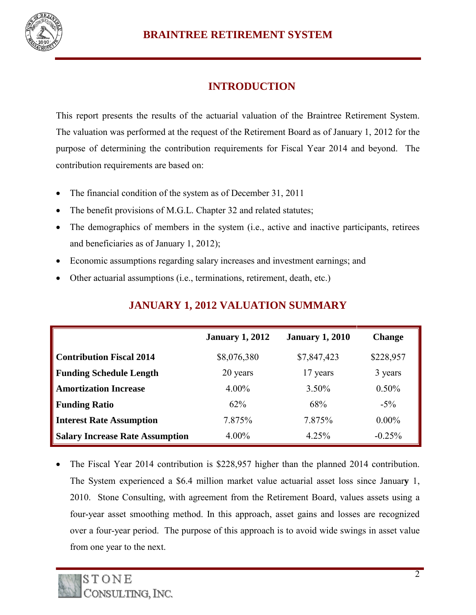

# **INTRODUCTION**

This report presents the results of the actuarial valuation of the Braintree Retirement System. The valuation was performed at the request of the Retirement Board as of January 1, 2012 for the purpose of determining the contribution requirements for Fiscal Year 2014 and beyond. The contribution requirements are based on:

- The financial condition of the system as of December 31, 2011
- The benefit provisions of M.G.L. Chapter 32 and related statutes;
- The demographics of members in the system (i.e., active and inactive participants, retirees and beneficiaries as of January 1, 2012);
- Economic assumptions regarding salary increases and investment earnings; and
- Other actuarial assumptions (i.e., terminations, retirement, death, etc.)

|                                        | <b>January 1, 2012</b> | <b>January 1, 2010</b> | <b>Change</b> |
|----------------------------------------|------------------------|------------------------|---------------|
| <b>Contribution Fiscal 2014</b>        | \$8,076,380            | \$7,847,423            | \$228,957     |
| <b>Funding Schedule Length</b>         | 20 years               | 17 years               | 3 years       |
| <b>Amortization Increase</b>           | $4.00\%$               | 3.50%                  | $0.50\%$      |
| <b>Funding Ratio</b>                   | 62%                    | 68%                    | $-5\%$        |
| <b>Interest Rate Assumption</b>        | 7.875%                 | 7.875%                 | $0.00\%$      |
| <b>Salary Increase Rate Assumption</b> | $4.00\%$               | 4.25%                  | $-0.25%$      |

#### **JANUARY 1, 2012 VALUATION SUMMARY**

 The Fiscal Year 2014 contribution is \$228,957 higher than the planned 2014 contribution. The System experienced a \$6.4 million market value actuarial asset loss since Januar**y** 1, 2010. Stone Consulting, with agreement from the Retirement Board, values assets using a four-year asset smoothing method. In this approach, asset gains and losses are recognized over a four-year period. The purpose of this approach is to avoid wide swings in asset value from one year to the next.

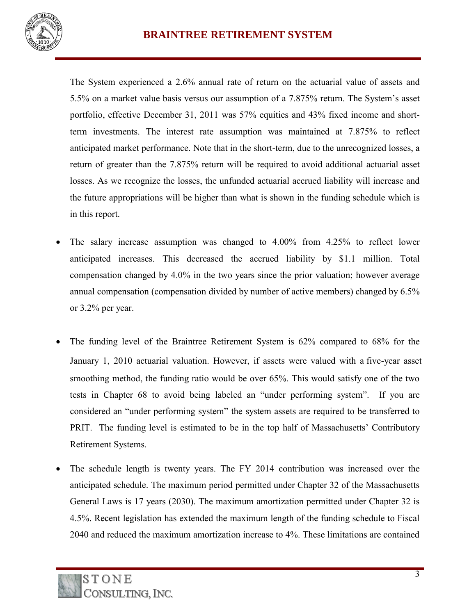

The System experienced a 2.6% annual rate of return on the actuarial value of assets and 5.5% on a market value basis versus our assumption of a 7.875% return. The System's asset portfolio, effective December 31, 2011 was 57% equities and 43% fixed income and shortterm investments. The interest rate assumption was maintained at 7.875% to reflect anticipated market performance. Note that in the short-term, due to the unrecognized losses, a return of greater than the 7.875% return will be required to avoid additional actuarial asset losses. As we recognize the losses, the unfunded actuarial accrued liability will increase and the future appropriations will be higher than what is shown in the funding schedule which is in this report.

- The salary increase assumption was changed to 4.00% from 4.25% to reflect lower anticipated increases. This decreased the accrued liability by \$1.1 million. Total compensation changed by 4.0% in the two years since the prior valuation; however average annual compensation (compensation divided by number of active members) changed by 6.5% or 3.2% per year.
- The funding level of the Braintree Retirement System is 62% compared to 68% for the January 1, 2010 actuarial valuation. However, if assets were valued with a five-year asset smoothing method, the funding ratio would be over 65%. This would satisfy one of the two tests in Chapter 68 to avoid being labeled an "under performing system". If you are considered an "under performing system" the system assets are required to be transferred to PRIT. The funding level is estimated to be in the top half of Massachusetts' Contributory Retirement Systems.
- The schedule length is twenty years. The FY 2014 contribution was increased over the anticipated schedule. The maximum period permitted under Chapter 32 of the Massachusetts General Laws is 17 years (2030). The maximum amortization permitted under Chapter 32 is 4.5%. Recent legislation has extended the maximum length of the funding schedule to Fiscal 2040 and reduced the maximum amortization increase to 4%. These limitations are contained

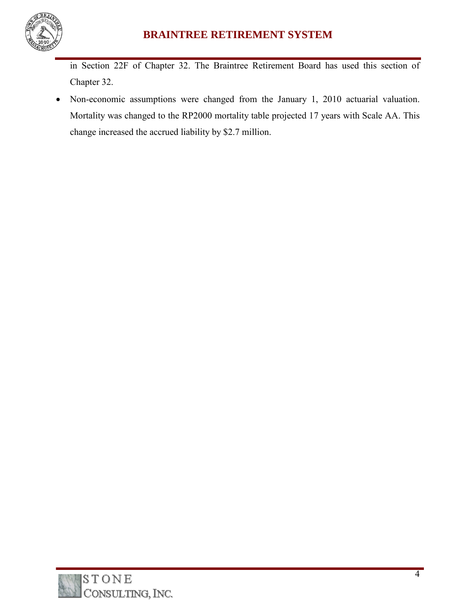

in Section 22F of Chapter 32. The Braintree Retirement Board has used this section of Chapter 32.

 Non-economic assumptions were changed from the January 1, 2010 actuarial valuation. Mortality was changed to the RP2000 mortality table projected 17 years with Scale AA. This change increased the accrued liability by \$2.7 million.

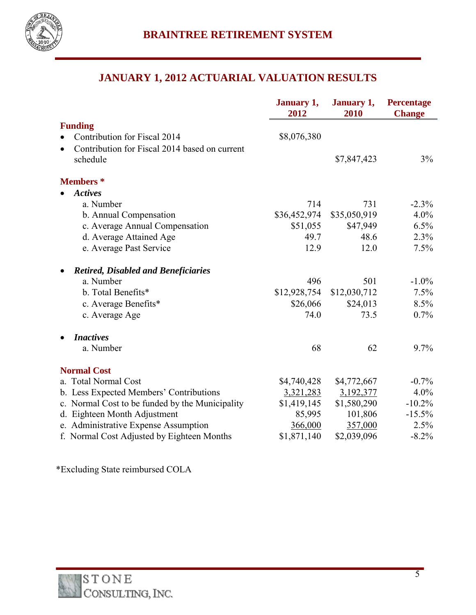

# **JANUARY 1, 2012 ACTUARIAL VALUATION RESULTS**

|                                                 | January 1,<br>2012 | January 1,<br>2010 | Percentage<br><b>Change</b> |
|-------------------------------------------------|--------------------|--------------------|-----------------------------|
| <b>Funding</b>                                  |                    |                    |                             |
| Contribution for Fiscal 2014                    | \$8,076,380        |                    |                             |
| Contribution for Fiscal 2014 based on current   |                    |                    |                             |
| schedule                                        |                    | \$7,847,423        | 3%                          |
| <b>Members</b> *                                |                    |                    |                             |
| <b>Actives</b>                                  |                    |                    |                             |
| a. Number                                       | 714                | 731                | $-2.3\%$                    |
| b. Annual Compensation                          | \$36,452,974       | \$35,050,919       | 4.0%                        |
| c. Average Annual Compensation                  | \$51,055           | \$47,949           | 6.5%                        |
| d. Average Attained Age                         | 49.7               | 48.6               | 2.3%                        |
| e. Average Past Service                         | 12.9               | 12.0               | 7.5%                        |
| <b>Retired, Disabled and Beneficiaries</b>      |                    |                    |                             |
| a. Number                                       | 496                | 501                | $-1.0\%$                    |
| b. Total Benefits*                              | \$12,928,754       | \$12,030,712       | 7.5%                        |
| c. Average Benefits*                            | \$26,066           | \$24,013           | 8.5%                        |
| c. Average Age                                  | 74.0               | 73.5               | 0.7%                        |
| <b>Inactives</b>                                |                    |                    |                             |
| a. Number                                       | 68                 | 62                 | 9.7%                        |
| <b>Normal Cost</b>                              |                    |                    |                             |
| a. Total Normal Cost                            | \$4,740,428        | \$4,772,667        | $-0.7\%$                    |
| b. Less Expected Members' Contributions         | 3,321,283          | 3,192,377          | 4.0%                        |
| c. Normal Cost to be funded by the Municipality | \$1,419,145        | \$1,580,290        | $-10.2\%$                   |
| d. Eighteen Month Adjustment                    | 85,995             | 101,806            | $-15.5%$                    |
| e. Administrative Expense Assumption            | 366,000            | 357,000            | 2.5%                        |
| f. Normal Cost Adjusted by Eighteen Months      | \$1,871,140        | \$2,039,096        | $-8.2%$                     |

\*Excluding State reimbursed COLA

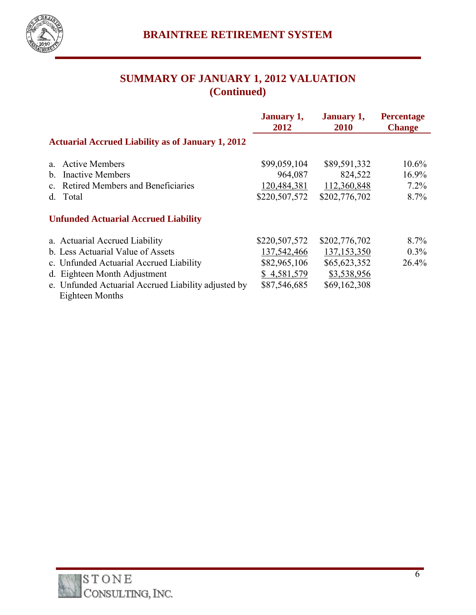

# **SUMMARY OF JANUARY 1, 2012 VALUATION (Continued)**

|                                                          | January 1,<br>2012 | January 1,<br><b>2010</b> | <b>Percentage</b><br><b>Change</b> |
|----------------------------------------------------------|--------------------|---------------------------|------------------------------------|
| <b>Actuarial Accrued Liability as of January 1, 2012</b> |                    |                           |                                    |
| <b>Active Members</b><br>a                               | \$99,059,104       | \$89,591,332              | $10.6\%$                           |
| <b>Inactive Members</b><br>$b_{-}$                       | 964,087            | 824,522                   | 16.9%                              |
| Retired Members and Beneficiaries<br>$c_{-}$             | 120,484,381        | 112,360,848               | $7.2\%$                            |
| Total<br>d.                                              | \$220,507,572      | \$202,776,702             | $8.7\%$                            |
| <b>Unfunded Actuarial Accrued Liability</b>              |                    |                           |                                    |
| a. Actuarial Accrued Liability                           | \$220,507,572      | \$202,776,702             | $8.7\%$                            |
| b. Less Actuarial Value of Assets                        | 137,542,466        | 137, 153, 350             | $0.3\%$                            |
| c. Unfunded Actuarial Accrued Liability                  | \$82,965,106       | \$65,623,352              | 26.4%                              |
| d. Eighteen Month Adjustment                             | \$4,581,579        | \$3,538,956               |                                    |
| e. Unfunded Actuarial Accrued Liability adjusted by      | \$87,546,685       | \$69,162,308              |                                    |
| Eighteen Months                                          |                    |                           |                                    |

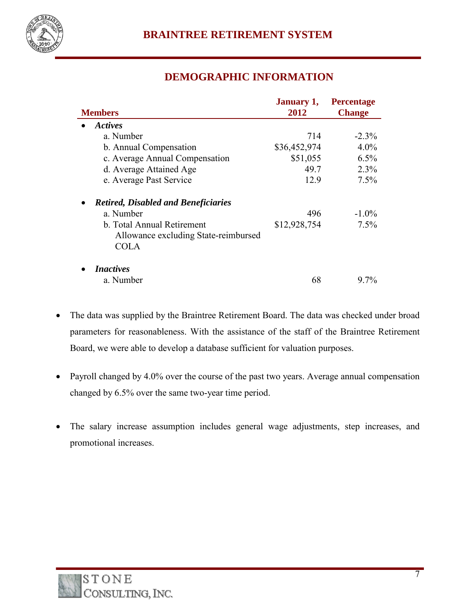

## **DEMOGRAPHIC INFORMATION**

|                                                                                   | <b>January 1,</b> | <b>Percentage</b> |
|-----------------------------------------------------------------------------------|-------------------|-------------------|
| <b>Members</b>                                                                    | 2012              | <b>Change</b>     |
| Actives                                                                           |                   |                   |
| a. Number                                                                         | 714               | $-2.3\%$          |
| b. Annual Compensation                                                            | \$36,452,974      | $4.0\%$           |
| c. Average Annual Compensation                                                    | \$51,055          | 6.5%              |
| d. Average Attained Age                                                           | 49.7              | 2.3%              |
| e. Average Past Service                                                           | 12.9              | 7.5%              |
| <b>Retired, Disabled and Beneficiaries</b>                                        |                   |                   |
| a. Number                                                                         | 496               | $-1.0\%$          |
| b. Total Annual Retirement<br>Allowance excluding State-reimbursed<br><b>COLA</b> | \$12,928,754      | 7.5%              |
| <i>Inactives</i>                                                                  |                   |                   |
| a. Number                                                                         | 68                | $97\%$            |

- The data was supplied by the Braintree Retirement Board. The data was checked under broad parameters for reasonableness. With the assistance of the staff of the Braintree Retirement Board, we were able to develop a database sufficient for valuation purposes.
- Payroll changed by 4.0% over the course of the past two years. Average annual compensation changed by 6.5% over the same two-year time period.
- The salary increase assumption includes general wage adjustments, step increases, and promotional increases.

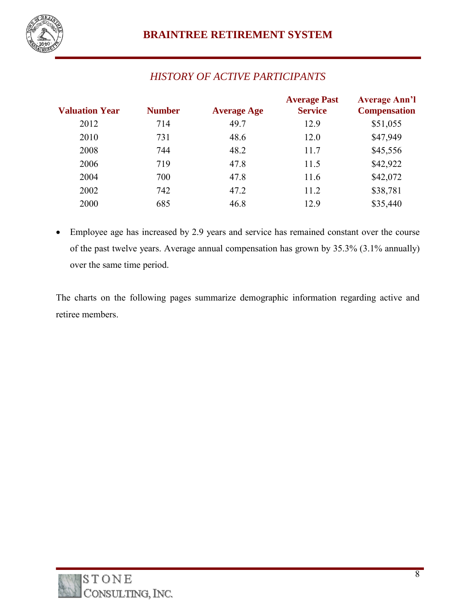

# *HISTORY OF ACTIVE PARTICIPANTS*

| <b>Valuation Year</b> | <b>Number</b> | <b>Average Age</b> | <b>Service</b> | <b>Compensation</b> |
|-----------------------|---------------|--------------------|----------------|---------------------|
| 2012                  | 714           | 49.7               | 12.9           | \$51,055            |
| 2010                  | 731           | 48.6               | 12.0           | \$47,949            |
| 2008                  | 744           | 48.2               | 11.7           | \$45,556            |
| 2006                  | 719           | 47.8               | 11.5           | \$42,922            |
| 2004                  | 700           | 47.8               | 11.6           | \$42,072            |
| 2002                  | 742           | 47.2               | 11.2           | \$38,781            |
| 2000                  | 685           | 46.8               | 12.9           | \$35,440            |

 Employee age has increased by 2.9 years and service has remained constant over the course of the past twelve years. Average annual compensation has grown by 35.3% (3.1% annually) over the same time period.

The charts on the following pages summarize demographic information regarding active and retiree members.

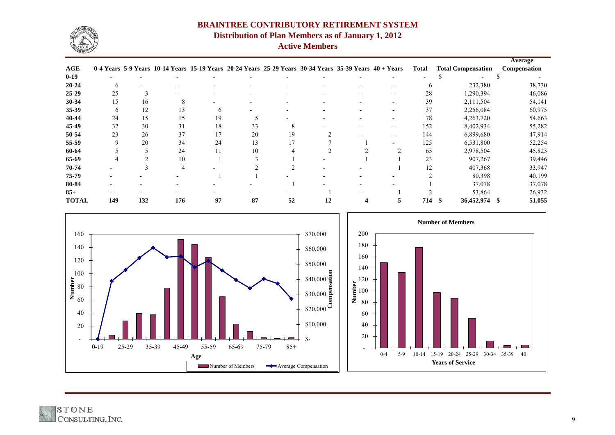| ation | <b>Average</b><br>Compensation |
|-------|--------------------------------|
|       | \$                             |
| 380   | 38,730                         |
| 394,  | 46,086                         |
| 504,  | 54,141                         |
| ,084  | 60,975                         |
| ,720  | 54,663                         |
| ,934  | 55,282                         |
| ,680  | 47,914                         |
| 800   | 52,254                         |
| 504   | 45,823                         |
| ,267  | 39,446                         |
| 368   | 33,947                         |
| 398,  | 40,199                         |
| ,078  | 37,078                         |
| ,864  | 26,932                         |
| 974,  | \$<br>51,055                   |
|       |                                |
| 30-34 | 35-39<br>$40+$                 |

|              |     |               |                                                                                                        |    |    |    |    |  |    |              |                           | 1110445      |  |
|--------------|-----|---------------|--------------------------------------------------------------------------------------------------------|----|----|----|----|--|----|--------------|---------------------------|--------------|--|
| <b>AGE</b>   |     |               | 0-4 Years 5-9 Years 10-14 Years 15-19 Years 20-24 Years 25-29 Years 30-34 Years 35-39 Years 40 + Years |    |    |    |    |  |    | <b>Total</b> | <b>Total Compensation</b> | Compensation |  |
| $0-19$       |     |               |                                                                                                        |    |    |    |    |  |    |              |                           |              |  |
| $20 - 24$    |     |               |                                                                                                        |    |    |    |    |  |    | <sub>b</sub> | 232,380                   | 38,730       |  |
| $25-29$      | 25  | $\rightarrow$ |                                                                                                        |    |    |    |    |  |    | 28           | 1,290,394                 | 46,086       |  |
| $30 - 34$    | 15  | 16            |                                                                                                        |    |    |    |    |  |    | 39           | 2,111,504                 | 54,141       |  |
| $35 - 39$    | h   | 12            | 13                                                                                                     |    |    |    |    |  |    | 37           | 2,256,084                 | 60,975       |  |
| 40-44        | 24  | 15            | 15                                                                                                     | 19 |    |    |    |  |    | 78           | 4,263,720                 | 54,663       |  |
| 45-49        | 32  | 30            | 31                                                                                                     | 18 | 33 |    |    |  |    | 152          | 8,402,934                 | 55,282       |  |
| 50-54        | 23  | 26            | 37                                                                                                     | 17 | 20 | 19 |    |  |    | 144          | 6,899,680                 | 47,914       |  |
| 55-59        |     | 20            | 34                                                                                                     | 24 | 13 | 17 |    |  |    | 125          | 6,531,800                 | 52,254       |  |
| 60-64        |     |               | 24                                                                                                     |    | 10 |    |    |  |    | 65           | 2,978,504                 | 45,823       |  |
| 65-69        |     |               | 10                                                                                                     |    |    |    |    |  |    | 23           | 907,267                   | 39,446       |  |
| 70-74        |     |               |                                                                                                        |    |    |    |    |  |    | 12           | 407,368                   | 33,947       |  |
| 75-79        |     |               |                                                                                                        |    |    |    |    |  |    |              | 80,398                    | 40,199       |  |
| 80-84        |     |               |                                                                                                        |    |    |    |    |  |    |              | 37,078                    | 37,078       |  |
| $85+$        |     |               |                                                                                                        |    |    |    |    |  |    |              | 53,864                    | 26,932       |  |
| <b>TOTAL</b> | 149 | 132           | 176                                                                                                    | 97 | 87 | 52 | 12 |  | 5. | 714          | 36,452,974                | 51,055       |  |



# **BRAINTREE CONTRIBUTORY RETIREMENT SYSTEM Distribution of Plan Members as of January 1, 2012 Active Members**





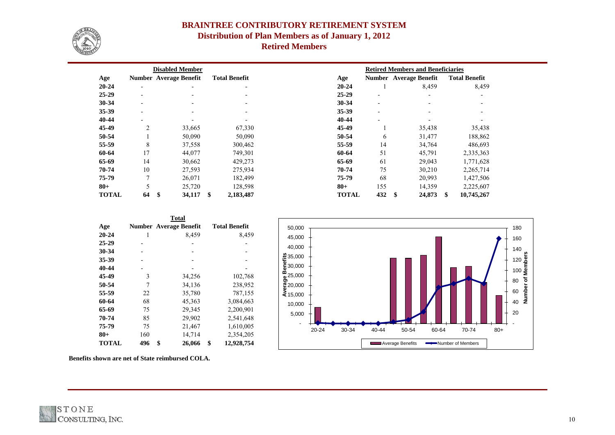|              |                          | <b>Disabled Member</b>        |                                |              |     | <b>Retired Members and Beneficiaries</b> |                        |         |
|--------------|--------------------------|-------------------------------|--------------------------------|--------------|-----|------------------------------------------|------------------------|---------|
| Age          |                          | <b>Number Average Benefit</b> | <b>Total Benefit</b>           | Age          |     | <b>Number</b> Average Benefit            | <b>Total Benefit</b>   |         |
| $20 - 24$    | $\overline{\phantom{a}}$ |                               | $\overline{\phantom{0}}$       | $20 - 24$    |     | 8,459                                    |                        | 8,459   |
| $25 - 29$    |                          |                               |                                | $25 - 29$    |     |                                          |                        |         |
| 30-34        | $\overline{\phantom{0}}$ |                               | $\overline{\phantom{a}}$       | 30-34        |     | $\overline{\phantom{a}}$                 |                        |         |
| 35-39        | $\overline{\phantom{0}}$ |                               |                                | 35-39        |     |                                          |                        |         |
| 40-44        |                          |                               |                                | 40-44        |     |                                          |                        |         |
| 45-49        | $\overline{2}$           | 33,665                        | 67,330                         | 45-49        |     | 35,438                                   |                        | 35,438  |
| 50-54        |                          | 50,090                        | 50,090                         | 50-54        | 6   | 31,477                                   |                        | 188,862 |
| 55-59        | 8                        | 37,558                        | 300,462                        | 55-59        | 14  | 34,764                                   | 486,693                |         |
| 60-64        | 17                       | 44,077                        | 749,301                        | 60-64        | 51  | 45,791                                   | 2,335,363              |         |
| 65-69        | 14                       | 30,662                        | 429,273                        | 65-69        | 61  | 29,043                                   | 1,771,628              |         |
| 70-74        | 10                       | 27,593                        | 275,934                        | 70-74        | 75  | 30,210                                   | 2,265,714              |         |
| 75-79        | $\overline{7}$           | 26,071                        | 182,499                        | 75-79        | 68  | 20,993                                   | 1,427,506              |         |
| $80 +$       | 5                        | 25,720                        | 128,598                        | $80 +$       | 155 | 14,359                                   | 2,225,607              |         |
| <b>TOTAL</b> | \$<br>64                 | 34,117                        | $\boldsymbol{\$}$<br>2,183,487 | <b>TOTAL</b> | 432 | \$<br>24,873                             | 10,745,267<br><b>S</b> |         |

|              |                | <b>Total</b>                  |                      |  |
|--------------|----------------|-------------------------------|----------------------|--|
| Age          |                | <b>Number Average Benefit</b> | <b>Total Benefit</b> |  |
| $20 - 24$    | 1              | 8,459                         | 8,459                |  |
| $25 - 29$    |                |                               |                      |  |
| 30-34        |                |                               |                      |  |
| 35-39        |                |                               |                      |  |
| 40-44        |                |                               |                      |  |
| 45-49        | 3              | 34,256                        | 102,768              |  |
| 50-54        | $\overline{7}$ | 34,136                        | 238,952              |  |
| 55-59        | 22             | 35,780                        | 787,155              |  |
| 60-64        | 68             | 45,363                        | 3,084,663            |  |
| 65-69        | 75             | 29,345                        | 2,200,901            |  |
| 70-74        | 85             | 29,902                        | 2,541,648            |  |
| 75-79        | 75             | 21,467                        | 1,610,005            |  |
| $80 +$       | 160            | 14,714                        | 2,354,205            |  |
| <b>TOTAL</b> | 496            | \$<br>26,066                  | \$<br>12,928,754     |  |



# **BRAINTREE CONTRIBUTORY RETIREMENT SYSTEM**

# **Distribution of Plan Members as of January 1, 2012**

**Retired Members**

**Benefits shown are net of State reimbursed COLA.**





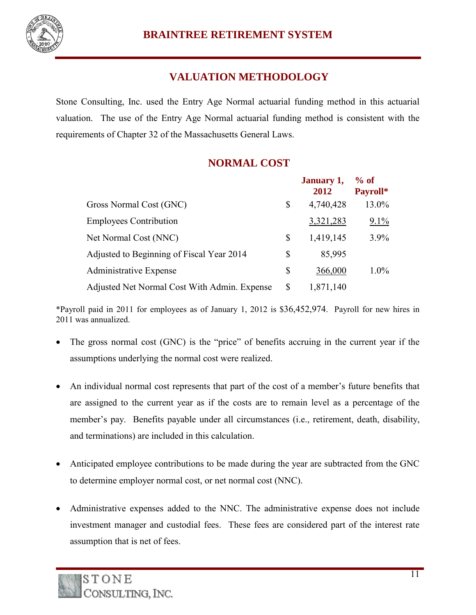

# **VALUATION METHODOLOGY**

Stone Consulting, Inc. used the Entry Age Normal actuarial funding method in this actuarial valuation. The use of the Entry Age Normal actuarial funding method is consistent with the requirements of Chapter 32 of the Massachusetts General Laws.

## **NORMAL COST**

|                                              |    | January 1,<br>2012 | $%$ of<br>Payroll* |
|----------------------------------------------|----|--------------------|--------------------|
| Gross Normal Cost (GNC)                      | \$ | 4,740,428          | 13.0%              |
| <b>Employees Contribution</b>                |    | 3,321,283          | $9.1\%$            |
| Net Normal Cost (NNC)                        | \$ | 1,419,145          | 3.9%               |
| Adjusted to Beginning of Fiscal Year 2014    | S  | 85,995             |                    |
| Administrative Expense                       | \$ | 366,000            | $1.0\%$            |
| Adjusted Net Normal Cost With Admin. Expense | \$ | 1,871,140          |                    |

\*Payroll paid in 2011 for employees as of January 1, 2012 is \$36,452,974. Payroll for new hires in 2011 was annualized.

- The gross normal cost (GNC) is the "price" of benefits accruing in the current year if the assumptions underlying the normal cost were realized.
- An individual normal cost represents that part of the cost of a member's future benefits that are assigned to the current year as if the costs are to remain level as a percentage of the member's pay. Benefits payable under all circumstances (i.e., retirement, death, disability, and terminations) are included in this calculation.
- Anticipated employee contributions to be made during the year are subtracted from the GNC to determine employer normal cost, or net normal cost (NNC).
- Administrative expenses added to the NNC. The administrative expense does not include investment manager and custodial fees. These fees are considered part of the interest rate assumption that is net of fees.

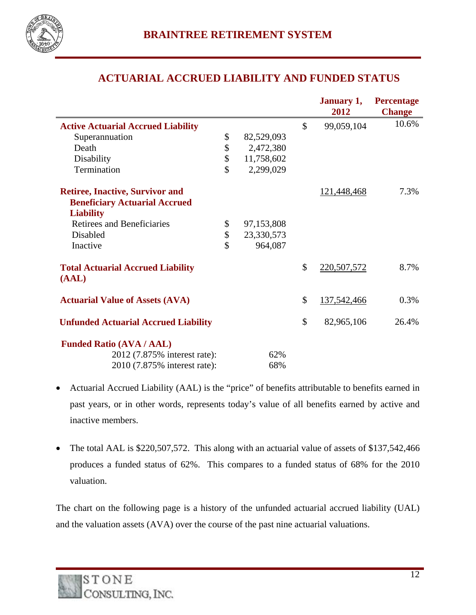

## **ACTUARIAL ACCRUED LIABILITY AND FUNDED STATUS**

|                                             |                  | January 1,          | <b>Percentage</b> |
|---------------------------------------------|------------------|---------------------|-------------------|
|                                             |                  | 2012                | <b>Change</b>     |
| <b>Active Actuarial Accrued Liability</b>   |                  | \$<br>99,059,104    | 10.6%             |
| Superannuation                              | \$<br>82,529,093 |                     |                   |
| Death                                       | \$<br>2,472,380  |                     |                   |
| Disability                                  | \$<br>11,758,602 |                     |                   |
| Termination                                 | \$<br>2,299,029  |                     |                   |
| <b>Retiree, Inactive, Survivor and</b>      |                  | 121,448,468         | 7.3%              |
| <b>Beneficiary Actuarial Accrued</b>        |                  |                     |                   |
| <b>Liability</b>                            |                  |                     |                   |
| <b>Retirees and Beneficiaries</b>           | \$<br>97,153,808 |                     |                   |
| Disabled                                    | \$<br>23,330,573 |                     |                   |
| Inactive                                    | \$<br>964,087    |                     |                   |
| <b>Total Actuarial Accrued Liability</b>    |                  | \$<br>220,507,572   | 8.7%              |
| (AAL)                                       |                  |                     |                   |
| <b>Actuarial Value of Assets (AVA)</b>      |                  | \$<br>137, 542, 466 | 0.3%              |
| <b>Unfunded Actuarial Accrued Liability</b> |                  | \$<br>82,965,106    | 26.4%             |
| <b>Funded Ratio (AVA / AAL)</b>             |                  |                     |                   |
| 2012 (7.875% interest rate):                | 62%              |                     |                   |
| 2010 (7.875% interest rate):                | 68%              |                     |                   |
|                                             |                  |                     |                   |

- Actuarial Accrued Liability (AAL) is the "price" of benefits attributable to benefits earned in past years, or in other words, represents today's value of all benefits earned by active and inactive members.
- The total AAL is \$220,507,572. This along with an actuarial value of assets of \$137,542,466 produces a funded status of 62%. This compares to a funded status of 68% for the 2010 valuation.

The chart on the following page is a history of the unfunded actuarial accrued liability (UAL) and the valuation assets (AVA) over the course of the past nine actuarial valuations.

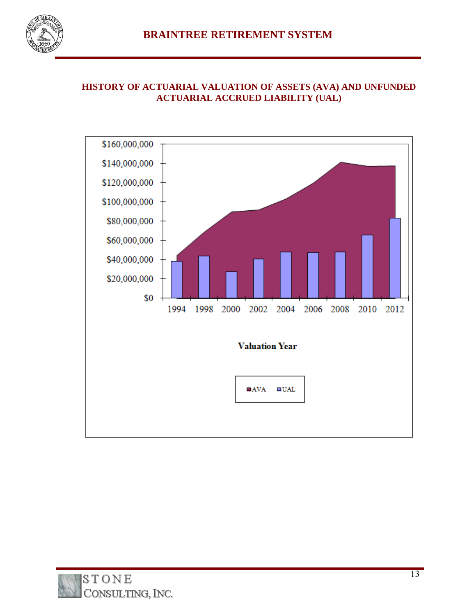

#### **HISTORY OF ACTUARIAL VALUATION OF ASSETS (AVA) AND UNFUNDED ACTUARIAL ACCRUED LIABILITY (UAL)**



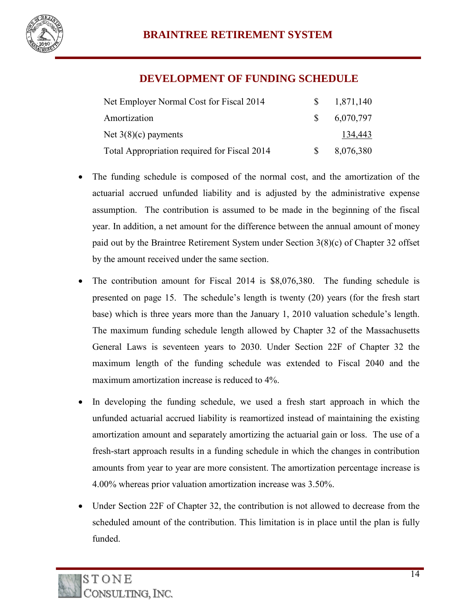

#### **DEVELOPMENT OF FUNDING SCHEDULE**

| Net Employer Normal Cost for Fiscal 2014     |               | 1,871,140 |
|----------------------------------------------|---------------|-----------|
| Amortization                                 | <sup>S</sup>  | 6,070,797 |
| Net $3(8)(c)$ payments                       |               | 134,443   |
| Total Appropriation required for Fiscal 2014 | $\mathcal{S}$ | 8,076,380 |

- The funding schedule is composed of the normal cost, and the amortization of the actuarial accrued unfunded liability and is adjusted by the administrative expense assumption. The contribution is assumed to be made in the beginning of the fiscal year. In addition, a net amount for the difference between the annual amount of money paid out by the Braintree Retirement System under Section 3(8)(c) of Chapter 32 offset by the amount received under the same section.
- The contribution amount for Fiscal 2014 is \$8,076,380. The funding schedule is presented on page 15. The schedule's length is twenty (20) years (for the fresh start base) which is three years more than the January 1, 2010 valuation schedule's length. The maximum funding schedule length allowed by Chapter 32 of the Massachusetts General Laws is seventeen years to 2030. Under Section 22F of Chapter 32 the maximum length of the funding schedule was extended to Fiscal 2040 and the maximum amortization increase is reduced to 4%.
- In developing the funding schedule, we used a fresh start approach in which the unfunded actuarial accrued liability is reamortized instead of maintaining the existing amortization amount and separately amortizing the actuarial gain or loss. The use of a fresh-start approach results in a funding schedule in which the changes in contribution amounts from year to year are more consistent. The amortization percentage increase is 4.00% whereas prior valuation amortization increase was 3.50%.
- Under Section 22F of Chapter 32, the contribution is not allowed to decrease from the scheduled amount of the contribution. This limitation is in place until the plan is fully funded.

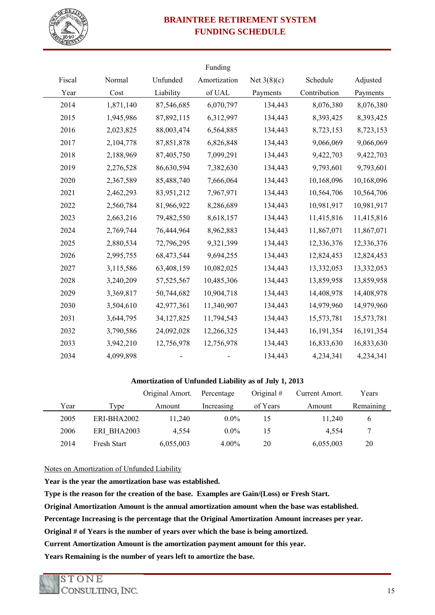

# **BRAINTREE RETIREMENT SYSTEM FUNDING SCHEDULE**

|        |           |              | Funding      |               |              |              |
|--------|-----------|--------------|--------------|---------------|--------------|--------------|
| Fiscal | Normal    | Unfunded     | Amortization | Net $3(8)(c)$ | Schedule     | Adjusted     |
| Year   | Cost      | Liability    | of UAL       | Payments      | Contribution | Payments     |
| 2014   | 1,871,140 | 87,546,685   | 6,070,797    | 134,443       | 8,076,380    | 8,076,380    |
| 2015   | 1,945,986 | 87,892,115   | 6,312,997    | 134,443       | 8,393,425    | 8,393,425    |
| 2016   | 2,023,825 | 88,003,474   | 6,564,885    | 134,443       | 8,723,153    | 8,723,153    |
| 2017   | 2,104,778 | 87,851,878   | 6,826,848    | 134,443       | 9,066,069    | 9,066,069    |
| 2018   | 2,188,969 | 87,405,750   | 7,099,291    | 134,443       | 9,422,703    | 9,422,703    |
| 2019   | 2,276,528 | 86,630,594   | 7,382,630    | 134,443       | 9,793,601    | 9,793,601    |
| 2020   | 2,367,589 | 85,488,740   | 7,666,064    | 134,443       | 10,168,096   | 10,168,096   |
| 2021   | 2,462,293 | 83,951,212   | 7,967,971    | 134,443       | 10,564,706   | 10,564,706   |
| 2022   | 2,560,784 | 81,966,922   | 8,286,689    | 134,443       | 10,981,917   | 10,981,917   |
| 2023   | 2,663,216 | 79,482,550   | 8,618,157    | 134,443       | 11,415,816   | 11,415,816   |
| 2024   | 2,769,744 | 76,444,964   | 8,962,883    | 134,443       | 11,867,071   | 11,867,071   |
| 2025   | 2,880,534 | 72,796,295   | 9,321,399    | 134,443       | 12,336,376   | 12,336,376   |
| 2026   | 2,995,755 | 68,473,544   | 9,694,255    | 134,443       | 12,824,453   | 12,824,453   |
| 2027   | 3,115,586 | 63,408,159   | 10,082,025   | 134,443       | 13,332,053   | 13,332,053   |
| 2028   | 3,240,209 | 57, 525, 567 | 10,485,306   | 134,443       | 13,859,958   | 13,859,958   |
| 2029   | 3,369,817 | 50,744,682   | 10,904,718   | 134,443       | 14,408,978   | 14,408,978   |
| 2030   | 3,504,610 | 42,977,361   | 11,340,907   | 134,443       | 14,979,960   | 14,979,960   |
| 2031   | 3,644,795 | 34, 127, 825 | 11,794,543   | 134,443       | 15,573,781   | 15,573,781   |
| 2032   | 3,790,586 | 24,092,028   | 12,266,325   | 134,443       | 16, 191, 354 | 16, 191, 354 |
| 2033   | 3,942,210 | 12,756,978   | 12,756,978   | 134,443       | 16,833,630   | 16,833,630   |
| 2034   | 4,099,898 |              |              | 134,443       | 4,234,341    | 4,234,341    |
|        |           |              |              |               |              |              |

#### **Amortization of Unfunded Liability as of July 1, 2013**

|      |      |                    | Original Amort. | Percentage | Original $#$ | Current Amort. | Y ears        |
|------|------|--------------------|-----------------|------------|--------------|----------------|---------------|
|      | Year | Type               | Amount          | Increasing | of Years     | Amount         | Remaining     |
| 2005 |      | ERI-BHA2002        | 11,240          | $0.0\%$    | 15           | 11,240         | $\mathfrak b$ |
| 2006 |      | ERI BHA2003        | 4,554           | $0.0\%$    | 15           | 4,554          | 7             |
| 2014 |      | <b>Fresh Start</b> | 6,055,003       | $4.00\%$   | 20           | 6,055,003      | 20            |

Notes on Amortization of Unfunded Liability

**Year is the year the amortization base was established.**

**Type is the reason for the creation of the base. Examples are Gain/(Loss) or Fresh Start.**

**Original Amortization Amount is the annual amortization amount when the base was established.**

**Percentage Increasing is the percentage that the Original Amortization Amount increases per year.**

**Original # of Years is the number of years over which the base is being amortized.**

**Current Amortization Amount is the amortization payment amount for this year.** 

**Years Remaining is the number of years left to amortize the base.**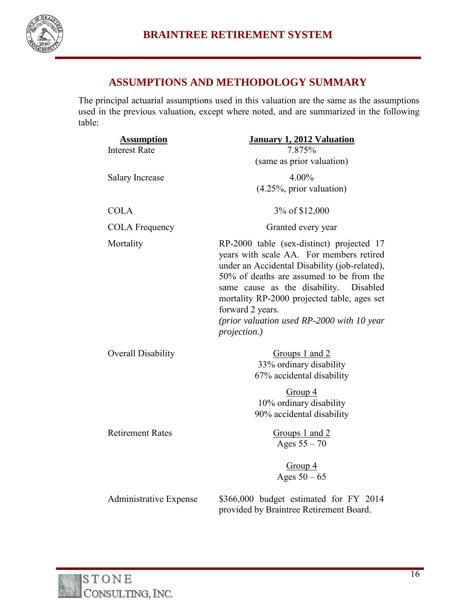

## **ASSUMPTIONS AND METHODOLOGY SUMMARY**

The principal actuarial assumptions used in this valuation are the same as the assumptions used in the previous valuation, except where noted, and are summarized in the following table:

| <b>Assumption</b><br><b>Interest Rate</b> | <b>January 1, 2012 Valuation</b><br>7.875%                                                                                                                                                                                                                                                                                                                       |
|-------------------------------------------|------------------------------------------------------------------------------------------------------------------------------------------------------------------------------------------------------------------------------------------------------------------------------------------------------------------------------------------------------------------|
|                                           | (same as prior valuation)                                                                                                                                                                                                                                                                                                                                        |
| <b>Salary Increase</b>                    | 4.00%<br>$(4.25\%,$ prior valuation)                                                                                                                                                                                                                                                                                                                             |
| <b>COLA</b>                               | 3% of \$12,000                                                                                                                                                                                                                                                                                                                                                   |
| <b>COLA Frequency</b>                     | Granted every year                                                                                                                                                                                                                                                                                                                                               |
| Mortality                                 | RP-2000 table (sex-distinct) projected 17<br>years with scale AA. For members retired<br>under an Accidental Disability (job-related),<br>50% of deaths are assumed to be from the<br>same cause as the disability.<br>Disabled<br>mortality RP-2000 projected table, ages set<br>forward 2 years.<br>(prior valuation used RP-2000 with 10 year<br>projection.) |
| <b>Overall Disability</b>                 | Groups 1 and 2<br>33% ordinary disability<br>67% accidental disability                                                                                                                                                                                                                                                                                           |
|                                           | Group 4<br>10% ordinary disability<br>90% accidental disability                                                                                                                                                                                                                                                                                                  |
| <b>Retirement Rates</b>                   | Groups 1 and 2<br>Ages $55 - 70$                                                                                                                                                                                                                                                                                                                                 |
|                                           | Group 4<br>Ages $50 - 65$                                                                                                                                                                                                                                                                                                                                        |
| <b>Administrative Expense</b>             | \$366,000 budget estimated for FY 2014<br>provided by Braintree Retirement Board.                                                                                                                                                                                                                                                                                |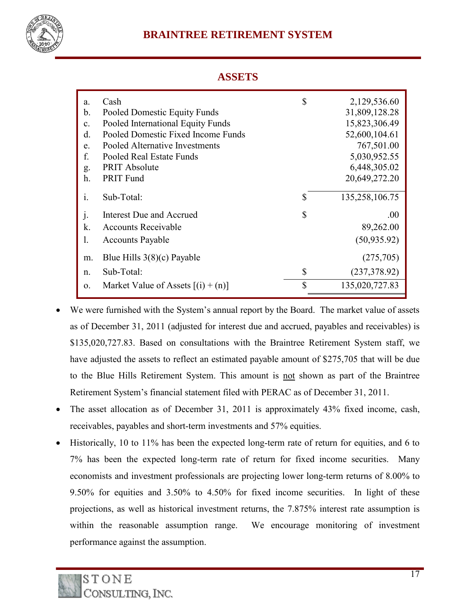

## **BRAINTREE RETIREMENT SYSTEM**

#### **ASSETS**

| a.             | Cash                                 | \$<br>2,129,536.60   |
|----------------|--------------------------------------|----------------------|
| b.             | Pooled Domestic Equity Funds         | 31,809,128.28        |
| $\mathbf{c}$ . | Pooled International Equity Funds    | 15,823,306.49        |
| $\rm d$ .      | Pooled Domestic Fixed Income Funds   | 52,600,104.61        |
| e.             | Pooled Alternative Investments       | 767,501.00           |
| f.             | Pooled Real Estate Funds             | 5,030,952.55         |
| g.             | <b>PRIT Absolute</b>                 | 6,448,305.02         |
| $h$ .          | <b>PRIT Fund</b>                     | 20,649,272.20        |
|                |                                      |                      |
| $\mathbf{i}$ . | Sub-Total:                           | \$<br>135,258,106.75 |
| $\cdot$        | Interest Due and Accrued             | \$<br>$.00\,$        |
| k.             | <b>Accounts Receivable</b>           | 89,262.00            |
| 1.             | <b>Accounts Payable</b>              | (50, 935.92)         |
|                |                                      |                      |
| m.             | Blue Hills $3(8)(c)$ Payable         | (275,705)            |
| n.             | Sub-Total:                           | \$<br>(237, 378.92)  |
| 0.             | Market Value of Assets $[(i) + (n)]$ | \$<br>135,020,727.83 |

- We were furnished with the System's annual report by the Board. The market value of assets as of December 31, 2011 (adjusted for interest due and accrued, payables and receivables) is \$135,020,727.83. Based on consultations with the Braintree Retirement System staff, we have adjusted the assets to reflect an estimated payable amount of \$275,705 that will be due to the Blue Hills Retirement System. This amount is not shown as part of the Braintree Retirement System's financial statement filed with PERAC as of December 31, 2011.
- The asset allocation as of December 31, 2011 is approximately 43% fixed income, cash, receivables, payables and short-term investments and 57% equities.
- Historically, 10 to 11% has been the expected long-term rate of return for equities, and 6 to 7% has been the expected long-term rate of return for fixed income securities. Many economists and investment professionals are projecting lower long-term returns of 8.00% to 9.50% for equities and 3.50% to 4.50% for fixed income securities. In light of these projections, as well as historical investment returns, the 7.875% interest rate assumption is within the reasonable assumption range. We encourage monitoring of investment performance against the assumption.

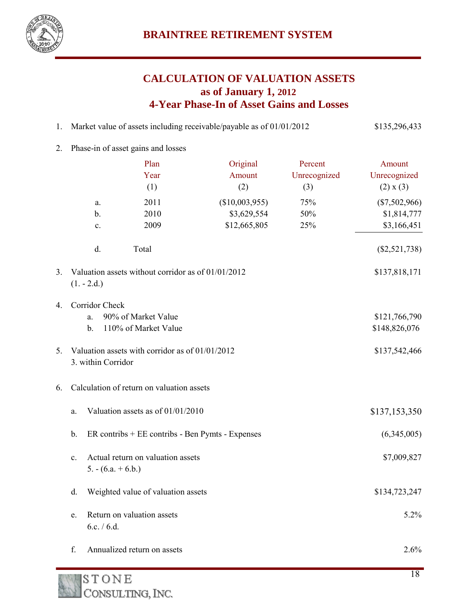

# **CALCULATION OF VALUATION ASSETS as of January 1, 2012 4-Year Phase-In of Asset Gains and Losses**

- 1. Market value of assets including receivable/payable as of 01/01/2012 \$135,296,433
- 2. Phase-in of asset gains and losses

|    |                                                                             | Plan                                               | Original       | Percent      | Amount                         |  |
|----|-----------------------------------------------------------------------------|----------------------------------------------------|----------------|--------------|--------------------------------|--|
|    |                                                                             | Year                                               | Amount         | Unrecognized | Unrecognized                   |  |
|    |                                                                             | (1)                                                | (2)            | (3)          | (2) x (3)                      |  |
|    | a.                                                                          | 2011                                               | (\$10,003,955) | 75%          | $(\$7,502,966)$                |  |
|    | $\mathbf b$ .                                                               | 2010                                               | \$3,629,554    | 50%          | \$1,814,777                    |  |
|    | c.                                                                          | 2009                                               | \$12,665,805   | 25%          | \$3,166,451                    |  |
|    | d.                                                                          | Total                                              |                |              | $(\$2,521,738)$                |  |
| 3. | $(1.-2.d.)$                                                                 | Valuation assets without corridor as of 01/01/2012 |                |              | \$137,818,171                  |  |
| 4. | Corridor Check                                                              | 90% of Market Value                                |                |              |                                |  |
|    | a.<br>$\mathbf b$ .                                                         | 110% of Market Value                               |                |              | \$121,766,790<br>\$148,826,076 |  |
| 5. | Valuation assets with corridor as of 01/01/2012<br>3. within Corridor       |                                                    | \$137,542,466  |              |                                |  |
| 6. |                                                                             | Calculation of return on valuation assets          |                |              |                                |  |
|    | a.                                                                          | Valuation assets as of 01/01/2010                  |                |              | \$137,153,350                  |  |
|    | $\mathbf b$ .<br>ER contribs + EE contribs - Ben Pymts - Expenses           |                                                    | (6,345,005)    |              |                                |  |
|    | Actual return on valuation assets<br>$\mathbf{c}$ .<br>$5. - (6.a. + 6.b.)$ |                                                    | \$7,009,827    |              |                                |  |
|    | Weighted value of valuation assets<br>\$134,723,247<br>d.                   |                                                    |                |              |                                |  |
|    | e.<br>6.c. $/ 6.d.$                                                         | Return on valuation assets                         |                |              | 5.2%                           |  |
|    | f.                                                                          | Annualized return on assets                        |                |              | 2.6%                           |  |
|    |                                                                             |                                                    |                |              |                                |  |

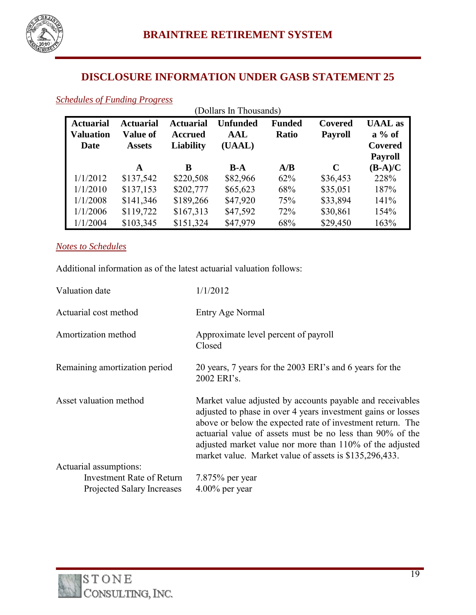

## **DISCLOSURE INFORMATION UNDER GASB STATEMENT 25**

## *Schedules of Funding Progress*

| (Dollars In Thousands)                       |                                                      |                                                        |                                  |                               |                                  |                                              |
|----------------------------------------------|------------------------------------------------------|--------------------------------------------------------|----------------------------------|-------------------------------|----------------------------------|----------------------------------------------|
| <b>Actuarial</b><br><b>Valuation</b><br>Date | <b>Actuarial</b><br><b>Value of</b><br><b>Assets</b> | <b>Actuarial</b><br><b>Accrued</b><br><b>Liability</b> | <b>Unfunded</b><br>AAL<br>(UAAL) | <b>Funded</b><br><b>Ratio</b> | <b>Covered</b><br><b>Payroll</b> | <b>UAAL</b> as<br>$a\%$ of<br><b>Covered</b> |
|                                              | A                                                    | B                                                      | $B-A$                            | A/B                           | C                                | <b>Payroll</b><br>$(B-A)/C$                  |
| 1/1/2012                                     | \$137,542                                            | \$220,508                                              | \$82,966                         | 62%                           | \$36,453                         | 228%                                         |
| 1/1/2010                                     | \$137,153                                            | \$202,777                                              | \$65,623                         | 68%                           | \$35,051                         | 187%                                         |
| 1/1/2008                                     | \$141,346                                            | \$189,266                                              | \$47,920                         | 75%                           | \$33,894                         | 141%                                         |
| 1/1/2006                                     | \$119,722                                            | \$167,313                                              | \$47,592                         | 72%                           | \$30,861                         | 154%                                         |
| 1/1/2004                                     | \$103,345                                            | \$151,324                                              | \$47,979                         | 68%                           | \$29,450                         | 163%                                         |

#### *Notes to Schedules*

Additional information as of the latest actuarial valuation follows:

| Valuation date                   | 1/1/2012                                                                                                                                                                                                                                                                                                                                                                   |
|----------------------------------|----------------------------------------------------------------------------------------------------------------------------------------------------------------------------------------------------------------------------------------------------------------------------------------------------------------------------------------------------------------------------|
| Actuarial cost method            | Entry Age Normal                                                                                                                                                                                                                                                                                                                                                           |
| Amortization method              | Approximate level percent of payroll<br>Closed                                                                                                                                                                                                                                                                                                                             |
| Remaining amortization period    | 20 years, 7 years for the 2003 ERI's and 6 years for the<br>2002 ERI's.                                                                                                                                                                                                                                                                                                    |
| Asset valuation method           | Market value adjusted by accounts payable and receivables<br>adjusted to phase in over 4 years investment gains or losses<br>above or below the expected rate of investment return. The<br>actuarial value of assets must be no less than 90% of the<br>adjusted market value nor more than 110% of the adjusted<br>market value. Market value of assets is \$135,296,433. |
| Actuarial assumptions:           |                                                                                                                                                                                                                                                                                                                                                                            |
| <b>Investment Rate of Return</b> | $7.875%$ per year                                                                                                                                                                                                                                                                                                                                                          |
| Projected Salary Increases       | $4.00\%$ per year                                                                                                                                                                                                                                                                                                                                                          |

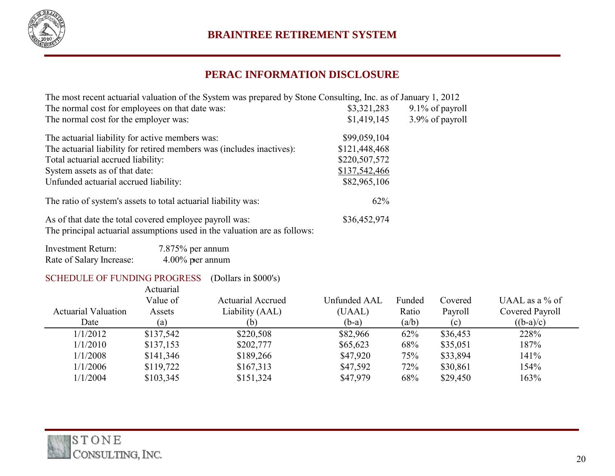

# **PERAC INFORMATION DISCLOSURE**

| The most recent actuarial valuation of the System was prepared by Stone Consulting, Inc. as of January 1, 2012 |               |                 |
|----------------------------------------------------------------------------------------------------------------|---------------|-----------------|
| The normal cost for employees on that date was:                                                                | \$3,321,283   | 9.1% of payroll |
| The normal cost for the employer was:                                                                          | \$1,419,145   | 3.9% of payroll |
| The actuarial liability for active members was:                                                                | \$99,059,104  |                 |
| The actuarial liability for retired members was (includes inactives):                                          | \$121,448,468 |                 |
| Total actuarial accrued liability:                                                                             | \$220,507,572 |                 |
| System assets as of that date:                                                                                 | \$137,542,466 |                 |
| Unfunded actuarial accrued liability:                                                                          | \$82,965,106  |                 |
| The ratio of system's assets to total actuarial liability was:                                                 | 62%           |                 |
| As of that date the total covered employee payroll was:<br>T1                                                  | \$36,452,974  |                 |

The principal actuarial assumptions used in the valuation are as follows:

| <b>Investment Return:</b> | $7.875\%$ per annum |
|---------------------------|---------------------|
| Rate of Salary Increase:  | $4.00\%$ per annum  |

#### SCHEDULE OF FUNDING PROGRESS (Dollars in \$000's)

|                            | Actuarial<br>Value of | <b>Actuarial Accrued</b> | <b>Unfunded AAL</b> | Funded | Covered  | UAAL as a $\%$ of |
|----------------------------|-----------------------|--------------------------|---------------------|--------|----------|-------------------|
| <b>Actuarial Valuation</b> | Assets                | Liability (AAL)          | (UAAL)              | Ratio  | Payroll  | Covered Payroll   |
| Date                       | (a)                   | (b)                      | $(b-a)$             | (a/b)  | (c)      | $((b-a)/c)$       |
| 1/1/2012                   | \$137,542             | \$220,508                | \$82,966            | 62%    | \$36,453 | 228%              |
| 1/1/2010                   | \$137,153             | \$202,777                | \$65,623            | 68%    | \$35,051 | 187%              |
| 1/1/2008                   | \$141,346             | \$189,266                | \$47,920            | 75%    | \$33,894 | 141%              |
| 1/1/2006                   | \$119,722             | \$167,313                | \$47,592            | 72%    | \$30,861 | 154%              |
| 1/1/2004                   | \$103,345             | \$151,324                | \$47,979            | 68%    | \$29,450 | 163%              |

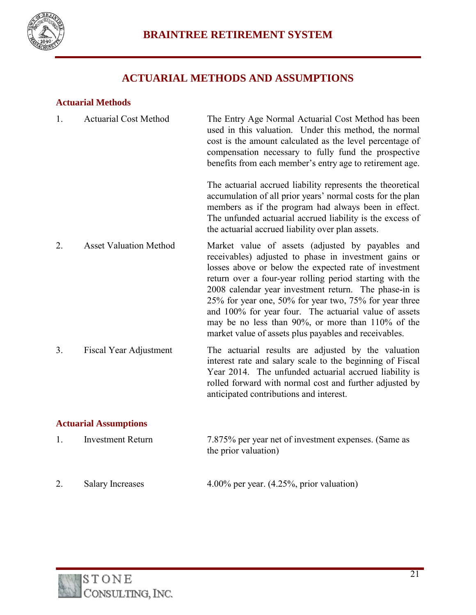

# **ACTUARIAL METHODS AND ASSUMPTIONS**

#### **Actuarial Methods**

| 1. | <b>Actuarial Cost Method</b>  | The Entry Age Normal Actuarial Cost Method has been<br>used in this valuation. Under this method, the normal<br>cost is the amount calculated as the level percentage of<br>compensation necessary to fully fund the prospective<br>benefits from each member's entry age to retirement age.                                                                                                                                                                                                                             |
|----|-------------------------------|--------------------------------------------------------------------------------------------------------------------------------------------------------------------------------------------------------------------------------------------------------------------------------------------------------------------------------------------------------------------------------------------------------------------------------------------------------------------------------------------------------------------------|
|    |                               | The actuarial accrued liability represents the theoretical<br>accumulation of all prior years' normal costs for the plan<br>members as if the program had always been in effect.<br>The unfunded actuarial accrued liability is the excess of<br>the actuarial accrued liability over plan assets.                                                                                                                                                                                                                       |
| 2. | <b>Asset Valuation Method</b> | Market value of assets (adjusted by payables and<br>receivables) adjusted to phase in investment gains or<br>losses above or below the expected rate of investment<br>return over a four-year rolling period starting with the<br>2008 calendar year investment return. The phase-in is<br>25% for year one, 50% for year two, 75% for year three<br>and 100% for year four. The actuarial value of assets<br>may be no less than 90%, or more than 110% of the<br>market value of assets plus payables and receivables. |
| 3. | <b>Fiscal Year Adjustment</b> | The actuarial results are adjusted by the valuation<br>interest rate and salary scale to the beginning of Fiscal<br>Year 2014. The unfunded actuarial accrued liability is<br>rolled forward with normal cost and further adjusted by<br>anticipated contributions and interest.                                                                                                                                                                                                                                         |

#### **Actuarial Assumptions**

| Investment Return | 7.875% per year net of investment expenses. (Same as<br>the prior valuation) |
|-------------------|------------------------------------------------------------------------------|
|                   |                                                                              |

2. Salary Increases 4.00% per year. (4.25%, prior valuation)

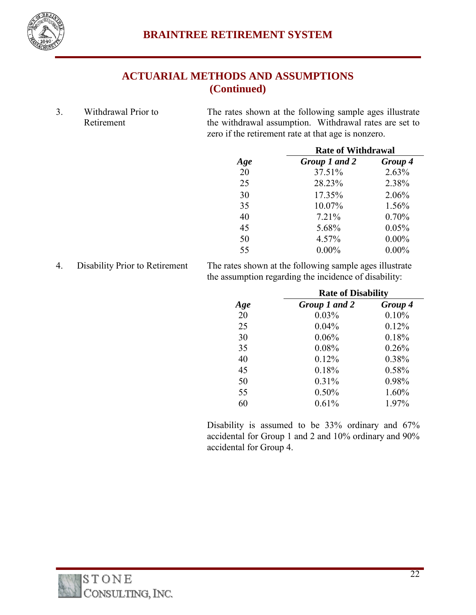

# **ACTUARIAL METHODS AND ASSUMPTIONS (Continued)**

3. Withdrawal Prior to Retirement

The rates shown at the following sample ages illustrate the withdrawal assumption. Withdrawal rates are set to zero if the retirement rate at that age is nonzero.

|     | <b>Rate of Withdrawal</b> |          |  |
|-----|---------------------------|----------|--|
| Age | Group 1 and 2             | Group 4  |  |
| 20  | 37.51%                    | 2.63%    |  |
| 25  | 28.23%                    | 2.38%    |  |
| 30  | 17.35%                    | 2.06%    |  |
| 35  | 10.07%                    | 1.56%    |  |
| 40  | 7.21%                     | 0.70%    |  |
| 45  | 5.68%                     | 0.05%    |  |
| 50  | 4.57%                     | $0.00\%$ |  |
| 55  | $0.00\%$                  | $0.00\%$ |  |

4. Disability Prior to Retirement The rates shown at the following sample ages illustrate the assumption regarding the incidence of disability:

|     | <b>Rate of Disability</b> |         |  |
|-----|---------------------------|---------|--|
| Age | Group 1 and 2             | Group 4 |  |
| 20  | 0.03%                     | 0.10%   |  |
| 25  | 0.04%                     | 0.12%   |  |
| 30  | 0.06%                     | 0.18%   |  |
| 35  | 0.08%                     | 0.26%   |  |
| 40  | 0.12%                     | 0.38%   |  |
| 45  | 0.18%                     | 0.58%   |  |
| 50  | 0.31%                     | 0.98%   |  |
| 55  | 0.50%                     | 1.60%   |  |
| 60  | 0.61%                     | 1.97%   |  |

Disability is assumed to be 33% ordinary and 67% accidental for Group 1 and 2 and 10% ordinary and 90% accidental for Group 4.

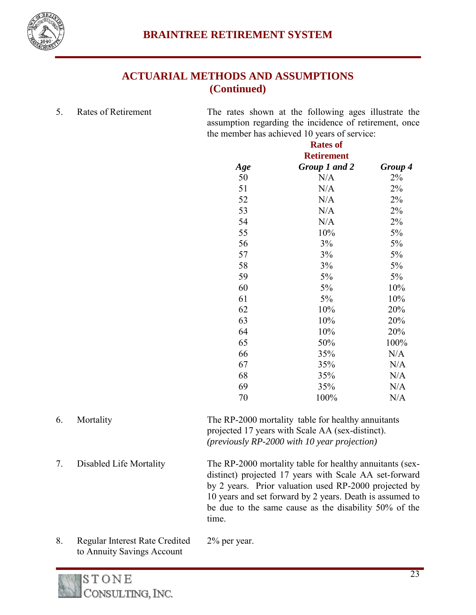

# **ACTUARIAL METHODS AND ASSUMPTIONS (Continued)**

5. Rates of Retirement The rates shown at the following ages illustrate the

assumption regarding the incidence of retirement, once the member has achieved 10 years of service:

| <b>Rates of</b>   |               |         |  |  |
|-------------------|---------------|---------|--|--|
| <b>Retirement</b> |               |         |  |  |
| Age               | Group 1 and 2 | Group 4 |  |  |
| 50                | N/A           | 2%      |  |  |
| 51                | N/A           | 2%      |  |  |
| 52                | N/A           | 2%      |  |  |
| 53                | N/A           | 2%      |  |  |
| 54                | N/A           | 2%      |  |  |
| 55                | 10%           | 5%      |  |  |
| 56                | 3%            | 5%      |  |  |
| 57                | 3%            | 5%      |  |  |
| 58                | 3%            | 5%      |  |  |
| 59                | 5%            | 5%      |  |  |
| 60                | 5%            | 10%     |  |  |
| 61                | 5%            | 10%     |  |  |
| 62                | 10%           | 20%     |  |  |
| 63                | 10%           | 20%     |  |  |
| 64                | 10%           | 20%     |  |  |
| 65                | 50%           | 100%    |  |  |
| 66                | 35%           | N/A     |  |  |
| 67                | 35%           | N/A     |  |  |
| 68                | 35%           | N/A     |  |  |
| 69                | 35%           | N/A     |  |  |
| 70                | 100%          | N/A     |  |  |
|                   |               |         |  |  |

- 6. Mortality The RP-2000 mortality table for healthy annuitants projected 17 years with Scale AA (sex-distinct). *(previously RP-2000 with 10 year projection)* 7. Disabled Life Mortality The RP-2000 mortality table for healthy annuitants (sexdistinct) projected 17 years with Scale AA set-forward by 2 years. Prior valuation used RP-2000 projected by 10 years and set forward by 2 years. Death is assumed to be due to the same cause as the disability 50% of the time. 8. Regular Interest Rate Credited 2% per year.
- to Annuity Savings Account

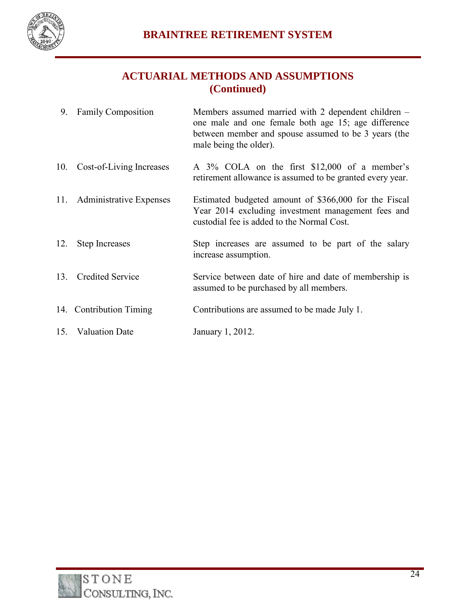

# **ACTUARIAL METHODS AND ASSUMPTIONS (Continued)**

| 9.  | <b>Family Composition</b>   | Members assumed married with 2 dependent children –<br>one male and one female both age 15; age difference<br>between member and spouse assumed to be 3 years (the<br>male being the older). |
|-----|-----------------------------|----------------------------------------------------------------------------------------------------------------------------------------------------------------------------------------------|
| 10. | Cost-of-Living Increases    | A 3% COLA on the first \$12,000 of a member's<br>retirement allowance is assumed to be granted every year.                                                                                   |
|     | 11. Administrative Expenses | Estimated budgeted amount of \$366,000 for the Fiscal<br>Year 2014 excluding investment management fees and<br>custodial fee is added to the Normal Cost.                                    |
| 12. | <b>Step Increases</b>       | Step increases are assumed to be part of the salary<br>increase assumption.                                                                                                                  |
| 13. | <b>Credited Service</b>     | Service between date of hire and date of membership is<br>assumed to be purchased by all members.                                                                                            |
|     | 14. Contribution Timing     | Contributions are assumed to be made July 1.                                                                                                                                                 |
|     | 15. Valuation Date          | January 1, 2012.                                                                                                                                                                             |

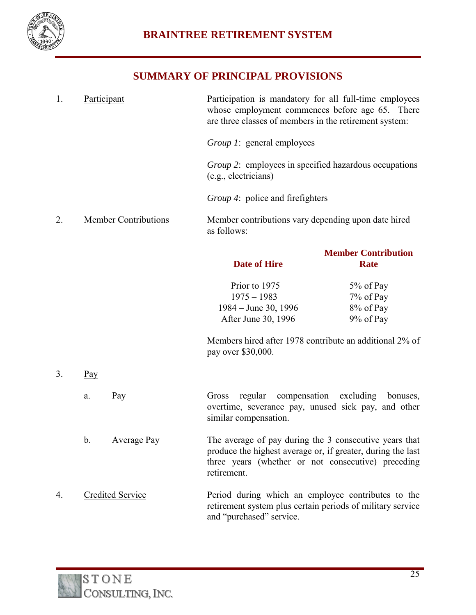

# **SUMMARY OF PRINCIPAL PROVISIONS**

| 1. |     | Participant                                                                                                                                                             | Participation is mandatory for all full-time employees<br>whose employment commences before age 65. There<br>are three classes of members in the retirement system:                        |                                           |
|----|-----|-------------------------------------------------------------------------------------------------------------------------------------------------------------------------|--------------------------------------------------------------------------------------------------------------------------------------------------------------------------------------------|-------------------------------------------|
|    |     |                                                                                                                                                                         | <i>Group 1</i> : general employees                                                                                                                                                         |                                           |
|    |     |                                                                                                                                                                         | <i>Group</i> 2: employees in specified hazardous occupations<br>(e.g., electricians)                                                                                                       |                                           |
|    |     |                                                                                                                                                                         | <i>Group 4</i> : police and firefighters                                                                                                                                                   |                                           |
| 2. |     | <b>Member Contributions</b>                                                                                                                                             | Member contributions vary depending upon date hired<br>as follows:                                                                                                                         |                                           |
|    |     |                                                                                                                                                                         | <b>Date of Hire</b>                                                                                                                                                                        | <b>Member Contribution</b><br><b>Rate</b> |
|    |     |                                                                                                                                                                         | Prior to 1975                                                                                                                                                                              | 5% of Pay                                 |
|    |     |                                                                                                                                                                         | $1975 - 1983$                                                                                                                                                                              | 7% of Pay                                 |
|    |     |                                                                                                                                                                         | 1984 – June 30, 1996                                                                                                                                                                       | 8% of Pay                                 |
|    |     |                                                                                                                                                                         | After June 30, 1996                                                                                                                                                                        | 9% of Pay                                 |
|    |     |                                                                                                                                                                         | Members hired after 1978 contribute an additional 2% of<br>pay over \$30,000.                                                                                                              |                                           |
| 3. | Pay |                                                                                                                                                                         |                                                                                                                                                                                            |                                           |
|    | a.  | Pay                                                                                                                                                                     | regular compensation excluding<br>Gross<br>overtime, severance pay, unused sick pay, and other<br>similar compensation.                                                                    | bonuses,                                  |
|    | b.  | Average Pay                                                                                                                                                             | The average of pay during the 3 consecutive years that<br>produce the highest average or, if greater, during the last<br>three years (whether or not consecutive) preceding<br>retirement. |                                           |
| 4. |     | <b>Credited Service</b><br>Period during which an employee contributes to the<br>retirement system plus certain periods of military service<br>and "purchased" service. |                                                                                                                                                                                            |                                           |

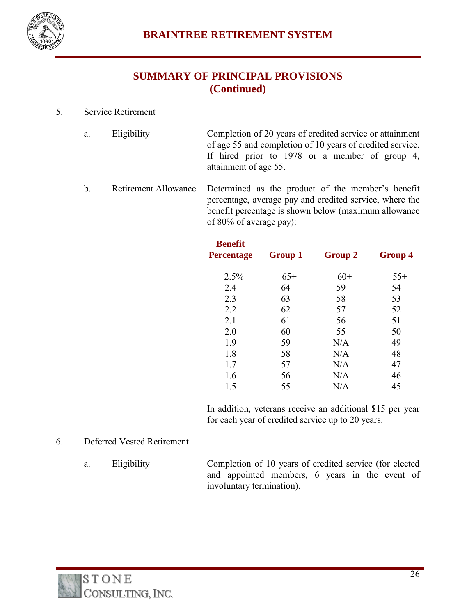

# **SUMMARY OF PRINCIPAL PROVISIONS (Continued)**

#### 5. Service Retirement

- a. Eligibility Completion of 20 years of credited service or attainment of age 55 and completion of 10 years of credited service. If hired prior to 1978 or a member of group 4, attainment of age 55.
- b. Retirement Allowance Determined as the product of the member's benefit percentage, average pay and credited service, where the benefit percentage is shown below (maximum allowance of 80% of average pay):

| <b>Benefit</b><br>Percentage | <b>Group 1</b> | <b>Group 2</b> | <b>Group 4</b> |
|------------------------------|----------------|----------------|----------------|
| 2.5%                         | $65+$          | $60+$          | $55+$          |
|                              |                |                |                |
| 2.4                          | 64             | 59             | 54             |
| 2.3                          | 63             | 58             | 53             |
| 2.2                          | 62             | 57             | 52             |
| 2.1                          | 61             | 56             | 51             |
| 2.0                          | 60             | 55             | 50             |
| 1.9                          | 59             | N/A            | 49             |
| 1.8                          | 58             | N/A            | 48             |
| 1.7                          | 57             | N/A            | 47             |
| 1.6                          | 56             | N/A            | 46             |
| 1.5                          | 55             | N/A            | 45             |

In addition, veterans receive an additional \$15 per year for each year of credited service up to 20 years.

#### 6. Deferred Vested Retirement

a. Eligibility Completion of 10 years of credited service (for elected and appointed members, 6 years in the event of involuntary termination).

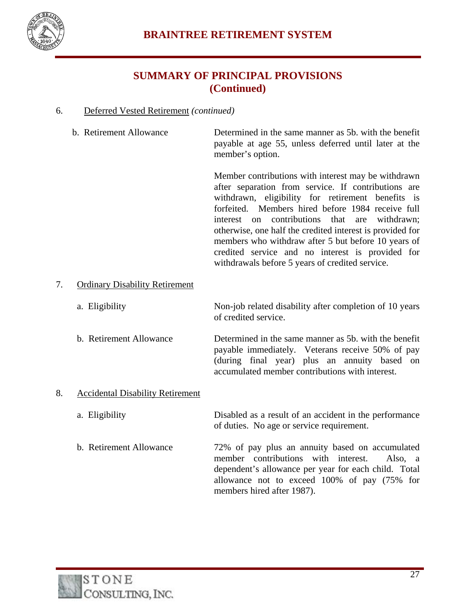

## **SUMMARY OF PRINCIPAL PROVISIONS (Continued)**

#### 6. Deferred Vested Retirement *(continued)*

 b. Retirement Allowance Determined in the same manner as 5b. with the benefit payable at age 55, unless deferred until later at the member's option.

> Member contributions with interest may be withdrawn after separation from service. If contributions are withdrawn, eligibility for retirement benefits is forfeited. Members hired before 1984 receive full interest on contributions that are withdrawn; otherwise, one half the credited interest is provided for members who withdraw after 5 but before 10 years of credited service and no interest is provided for withdrawals before 5 years of credited service.

#### 7. Ordinary Disability Retirement

a. Eligibility Non-job related disability after completion of 10 years of credited service.

 b. Retirement Allowance Determined in the same manner as 5b. with the benefit payable immediately. Veterans receive 50% of pay (during final year) plus an annuity based on accumulated member contributions with interest.

#### 8. Accidental Disability Retirement

- a. Eligibility Disabled as a result of an accident in the performance of duties. No age or service requirement.
- b. Retirement Allowance 72% of pay plus an annuity based on accumulated member contributions with interest. Also, a dependent's allowance per year for each child. Total allowance not to exceed 100% of pay (75% for members hired after 1987).

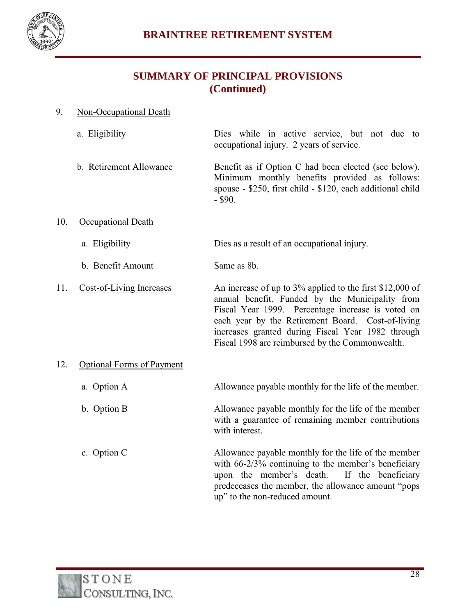

# **SUMMARY OF PRINCIPAL PROVISIONS (Continued)**

#### 9. Non-Occupational Death

 a. Eligibility Dies while in active service, but not due to occupational injury. 2 years of service.

 b. Retirement Allowance Benefit as if Option C had been elected (see below). Minimum monthly benefits provided as follows: spouse - \$250, first child - \$120, each additional child - \$90.

- 10. Occupational Death
	- a. Eligibility Dies as a result of an occupational injury.

b. Benefit Amount Same as 8b.

11. Cost-of-Living Increases An increase of up to 3% applied to the first \$12,000 of annual benefit. Funded by the Municipality from Fiscal Year 1999. Percentage increase is voted on each year by the Retirement Board. Cost-of-living increases granted during Fiscal Year 1982 through Fiscal 1998 are reimbursed by the Commonwealth.

#### 12. Optional Forms of Payment

- a. Option A Allowance payable monthly for the life of the member.
- b. Option B Allowance payable monthly for the life of the member with a guarantee of remaining member contributions with interest.
- c. Option C Allowance payable monthly for the life of the member with 66-2/3% continuing to the member's beneficiary upon the member's death. If the beneficiary predeceases the member, the allowance amount "pops up" to the non-reduced amount.

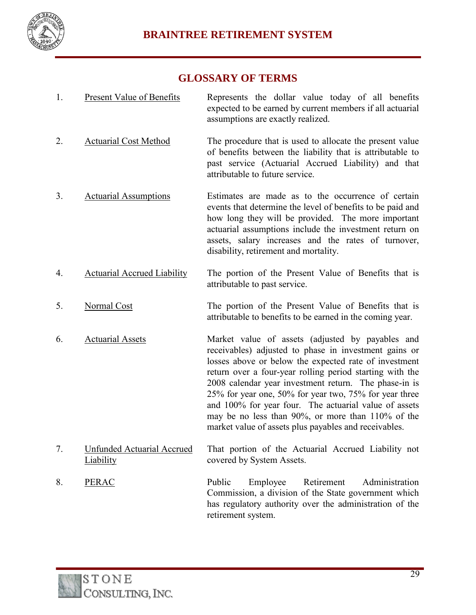

## **GLOSSARY OF TERMS**

- 1. Present Value of Benefits Represents the dollar value today of all benefits expected to be earned by current members if all actuarial assumptions are exactly realized.
- 2. Actuarial Cost Method The procedure that is used to allocate the present value of benefits between the liability that is attributable to past service (Actuarial Accrued Liability) and that attributable to future service.
- 3. Actuarial Assumptions Estimates are made as to the occurrence of certain events that determine the level of benefits to be paid and how long they will be provided. The more important actuarial assumptions include the investment return on assets, salary increases and the rates of turnover, disability, retirement and mortality.
- 4. Actuarial Accrued Liability The portion of the Present Value of Benefits that is attributable to past service.
- 5. Normal Cost The portion of the Present Value of Benefits that is attributable to benefits to be earned in the coming year.
- 6. Actuarial Assets Market value of assets (adjusted by payables and receivables) adjusted to phase in investment gains or losses above or below the expected rate of investment return over a four-year rolling period starting with the 2008 calendar year investment return. The phase-in is 25% for year one, 50% for year two, 75% for year three and 100% for year four. The actuarial value of assets may be no less than 90%, or more than 110% of the market value of assets plus payables and receivables.
- 7. Unfunded Actuarial Accrued Liability That portion of the Actuarial Accrued Liability not covered by System Assets.
- 8. PERAC Public Employee Retirement Administration Commission, a division of the State government which has regulatory authority over the administration of the retirement system.

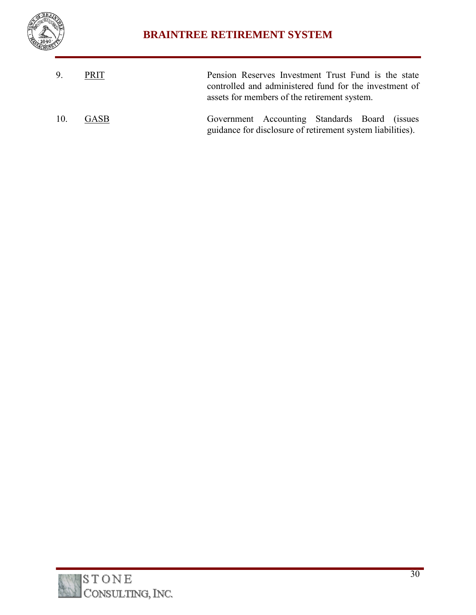

# **BRAINTREE RETIREMENT SYSTEM**

| 9.  | PRIT        | Pension Reserves Investment Trust Fund is the state<br>controlled and administered fund for the investment of<br>assets for members of the retirement system. |
|-----|-------------|---------------------------------------------------------------------------------------------------------------------------------------------------------------|
| 10. | <b>GASB</b> | Government Accounting Standards Board (issues<br>guidance for disclosure of retirement system liabilities).                                                   |